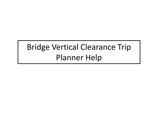## Bridge Vertical Clearance Trip Planner Help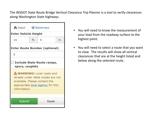The WSDOT State Route Bridge Vertical Clearance Trip Planner is a tool to verify clearances along Washington State highways.



- You will need to know the measurement of your load from the roadway surface to the highest point.
- You will need to select a route that you want to view. The results will show all vertical clearances that are at the height listed and below along the selected route.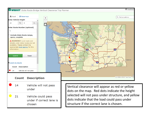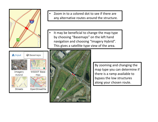



- • Zoom in to a colored dot to see if there are any alternative routes around the structure.
- • It may be beneficial to change the map type by choosing "Basemaps" on the left hand navigation and choosing "Imagery Hybrid". This gives a satellite type view of the area.



By zooming and changing the map type you can determine if there is a ramp available to bypass the low structures along your chosen route.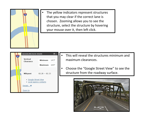

 The yellow indicators represent structures that you may clear if the correct lane is chosen. Zooming allows you to see the structure, select the structure by hovering your mouse over it, then left click.



•

- This will reveal the structures minimum and maximum clearances.
- Choose the "Google Street View" to see the structure from the roadway surface.